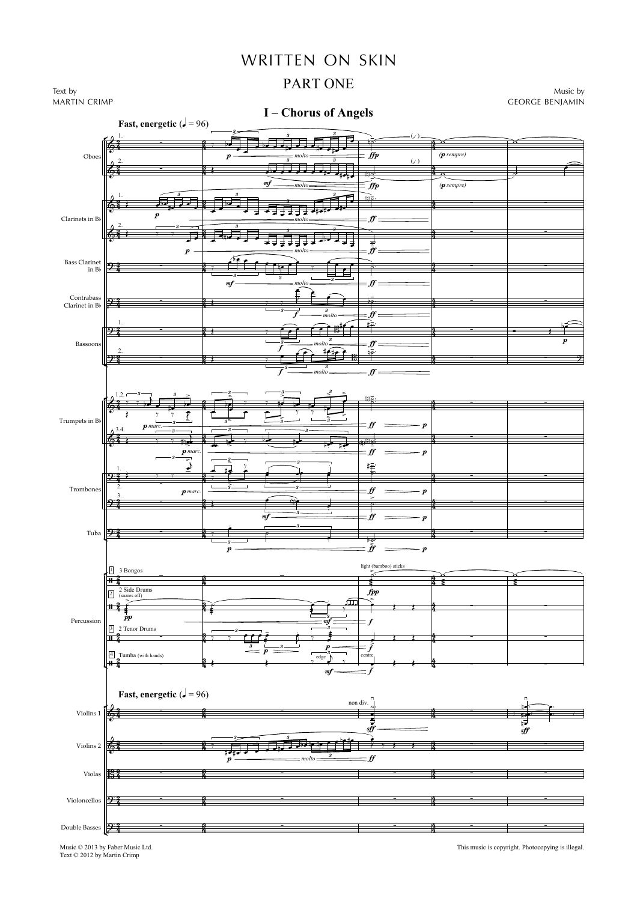## WRITTEN ON SKIN

## PART ONE



f

 $\frac{f}{\sqrt{f}}$   $\frac{f}{\sqrt{f}}$   $\frac{f}{\sqrt{f}}$   $\frac{f}{\sqrt{f}}$ 

יי<br>ה

 $\frac{1}{2}$  ;  $\frac{1}{2}$  ,  $\frac{1}{2}$  ,  $\frac{1}{2}$  ,  $\frac{1}{2}$  ,  $\frac{1}{2}$  ,  $\frac{1}{2}$  ,  $\frac{1}{2}$  ,  $\frac{1}{2}$ 

 $\frac{1}{2}$   $\frac{1}{3}$   $\frac{1}{2}$   $\frac{1}{3}$   $\frac{1}{2}$   $\frac{1}{2}$   $\frac{1}{3}$   $\frac{1}{2}$   $\frac{1}{4}$   $\frac{1}{4}$   $\frac{1}{2}$ 

 $\widehat{t}$  for  $\widehat{t}$ 

 $\stackrel{3}{\overbrace{}}$  *molto*  $\stackrel{3}{\overbrace{}}$  *ff* 

*molto*  $\stackrel{3}{\overbrace{\qquad \qquad }}=f\hspace{-0.1cm}f$ 

 $\stackrel{3}{\overbrace{ }}$  *molto*  $\stackrel{3}{\overbrace{ }}$  *ff* 

*molto*  $\longrightarrow$  *ff* 

 $\frac{1}{2}$  and  $\frac{1}{2}$  of  $\frac{1}{2}$  in  $\frac{1}{2}$  is the  $\frac{1}{2}$  in  $\frac{1}{2}$  is the  $\frac{1}{2}$  in  $\frac{1}{2}$  is the  $\frac{1}{2}$  in  $\frac{1}{2}$  is the  $\frac{1}{2}$  in  $\frac{1}{2}$  is the  $\frac{1}{2}$  in  $\frac{1}{2}$  is the  $\frac{1}{2}$  in

 $\boldsymbol{\hat{n}}$ 

 $\frac{1}{2}$  ,  $\frac{1}{2}$  ,  $\frac{1}{2}$  ,  $\frac{1}{2}$  ,  $\frac{1}{2}$  ,  $\frac{1}{2}$  ,  $\frac{1}{2}$  ,  $\frac{1}{2}$  ,  $\frac{1}{2}$ 

 $\frac{3}{4}$  :  $\frac{3}{4}$  ,  $\frac{3}{4}$  ,  $\frac{3}{4}$  ,  $\frac{3}{4}$  ,  $\frac{3}{4}$  ,  $\frac{3}{4}$  ,  $\frac{3}{4}$  ,  $\frac{3}{4}$ 

 $\frac{3}{4}$  ,  $\frac{1}{4}$  ,  $\frac{1}{4}$  ,  $\frac{1}{4}$  ,  $\frac{1}{4}$  ,  $\frac{1}{4}$  ,  $\frac{1}{4}$  ,  $\frac{1}{4}$ 

生

4

生

f

0 

 $\frac{1}{2}$   $\frac{1}{2}$   $\frac{1}{2}$   $\frac{1}{2}$   $\frac{1}{2}$ 

3

 $\frac{3}{3}$   $\frac{1}{3}$   $\frac{1}{3}$ 

f

3

1 Tuba 27 Trumpets in Bb Trombone  $p$  marc.  $\frac{p}{p}$  p marc.  $\frac{p}{p}$  p marc.  $\frac{p}{p}$  p marc.  $\frac{p}{p}$  p marc.  $\frac{p}{p}$  p marc.  $p$  marc.  $\hspace{2.5cm}$   $\hspace{2.5cm}$   $\hspace{2.5cm}$   $\hspace{2.5cm}$   $\hspace{2.5cm}$   $\hspace{2.5cm}$   $\hspace{2.5cm}$   $\hspace{2.5cm}$   $\hspace{2.5cm}$   $\hspace{2.5cm}$   $\hspace{2.5cm}$   $\hspace{2.5cm}$   $\hspace{2.5cm}$   $\hspace{2.5cm}$   $\hspace{2.5cm}$   $\hspace{2.5cm}$   $\hspace{2.5cm}$   $\hspace{2.$  $p$  marc.  $\begin{array}{cc} \hline \rule[1mm]{1mm}{0.2cm} p \end{array}$   $\begin{array}{cc} \hline \rule[1mm]{1mm}{0.2cm} p \end{array}$ mf ff p  $p \xrightarrow{p} p \xrightarrow{p} p$ ..<br>2  $\frac{2}{4}$ ,  $\frac{1}{4}$  ,  $\frac{1}{4}$  ,  $\frac{3}{4}$  $\frac{3}{4}$  ,  $\frac{1}{4}$  ,  $\frac{1}{4}$  ,  $\frac{1}{4}$  ,  $\frac{1}{4}$  ,  $\frac{1}{4}$  ,  $\frac{1}{4}$  ,  $\frac{1}{4}$  ,  $\frac{1}{4}$  $\frac{4}{4}$ .<br>2  $\frac{2}{4}$   $\longrightarrow$   $\frac{3}{4}$   $\longrightarrow$  $\frac{3}{4}$   $\frac{3}{4}$   $\frac{3}{4}$   $\frac{3}{4}$   $\frac{3}{4}$   $\frac{3}{4}$   $\frac{3}{4}$   $\frac{3}{4}$   $\frac{3}{4}$   $\frac{3}{4}$   $\frac{3}{4}$   $\frac{3}{4}$   $\frac{3}{4}$   $\frac{3}{4}$   $\frac{3}{4}$   $\frac{3}{4}$   $\frac{3}{4}$   $\frac{3}{4}$   $\frac{3}{4}$   $\frac{3}{4}$   $\frac{3}{4}$   $\frac{3}{4}$   $\frac{4}{4}$ ر<br>ج  $\frac{2}{3}$   $\longleftrightarrow$   $\frac{2}{3}$  $\frac{1}{2}$ ,  $\frac{1}{2}$  ,  $\frac{1}{2}$  ,  $\frac{1}{2}$  ,  $\frac{1}{2}$  ,  $\frac{1}{2}$  ,  $\frac{1}{2}$  ,  $\frac{1}{2}$ 4 ر<br>2  $\frac{2}{4}$   $\frac{3}{4}$  $\frac{3}{4}$  and  $\frac{3}{4}$  and  $\frac{3}{4}$  and  $\frac{3}{4}$ ł  $\frac{2}{4}$   $-\frac{3}{4}$  $\frac{3}{4}$ ,  $\frac{3}{4}$ 4  $\epsilon$ 1.2. 5  $\geq$  $\frac{1}{2}$ 5  $\geq$ 3  $\overline{\phantom{0}}$ E  $\frac{1}{3}$ 3  $\stackrel{3}{\geq}$ E ŕ.  $\frac{3}{2}$   $\geq$ <u>ာ (၈)ခုံး - မွာ (၈) - ထားသား (</u> Š न्र  $3 \rightarrow 3$  $3 \longrightarrow \begin{array}{ccc} & & 3 \end{array}$ 3 — 3 3  $\epsilon$ 3.4.  $\overline{\phantom{a}}$ S 3  $\frac{3}{\frac{11}{12}}$  and  $\frac{3}{\frac{1}{12}}$  be the  $\frac{3}{1}$   $\frac{3}{1}$   $\frac{3}{1}$   $\frac{3}{1}$   $\frac{3}{1}$   $\frac{3}{1}$   $\frac{3}{1}$   $\frac{3}{1}$   $\frac{3}{1}$   $\frac{3}{1}$   $\frac{3}{1}$   $\frac{3}{1}$   $\frac{3}{1}$   $\frac{3}{1}$   $\frac{3}{1}$   $\frac{3}{1}$   $\frac{3}{1}$   $\frac{3}{1$  $\frac{1}{2}$  $\frac{4}{2}$ .  $\overline{a}$ E  $\stackrel{3}{\geq}$ 3 ₹ M M 3 3 I B B E : 0 0 3 3  $\frac{3}{2}$  $\frac{1}{2}$   $\frac{1}{2}$   $\frac{1}{2}$   $\frac{1}{2}$   $\frac{1}{2}$   $\frac{1}{2}$   $\frac{1}{2}$   $\frac{1}{2}$   $\frac{1}{2}$   $\frac{1}{2}$   $\frac{1}{2}$   $\frac{1}{2}$   $\frac{1}{2}$   $\frac{1}{2}$   $\frac{1}{2}$   $\frac{1}{2}$   $\frac{1}{2}$   $\frac{1}{2}$   $\frac{1}{2}$   $\frac{1}{2}$   $\frac{1}{2}$   $\frac{1}{2}$   $=$  ff  $\frac{4}{3}$  and  $\frac{4}{3}$  and  $\frac{4}{3}$  and  $\frac{4}{3}$  and  $\frac{4}{3}$  and  $\frac{4}{3}$  and  $\frac{4}{3}$  and  $\frac{4}{3}$  and  $\frac{4}{3}$  and  $\frac{4}{3}$  and  $\frac{4}{3}$  and  $\frac{4}{3}$  and  $\frac{4}{3}$  and  $\frac{4}{3}$  and  $\frac{4}{3}$  and  $\frac{4}{3}$  a  $9\frac{9}{3}$  -  $\frac{3}{3}$ ,  $\frac{3}{3}$  $\frac{1}{3}$  and  $\frac{1}{3}$ 3 すえ 0 0 4 .<br>7 7 = 7 י<br>ג  $\frac{1}{2}$   $\frac{1}{2}$ 5  $\frac{1}{2}$   $\frac{1}{2}$   $\frac{1}{2}$   $\frac{1}{2}$   $\frac{1}{2}$ =  $\frac{7}{5}$   $\frac{1}{7}$   $\frac{1}{7}$   $\frac{1}{7}$  $\frac{1}{5}$   $\frac{1}{5}$   $\frac{1}{5}$   $\frac{1}{5}$   $\frac{1}{5}$   $\frac{1}{5}$   $\frac{1}{5}$   $\frac{1}{5}$   $\frac{1}{5}$   $\frac{1}{5}$   $\frac{1}{5}$   $\frac{1}{5}$   $\frac{1}{5}$   $\frac{1}{5}$   $\frac{1}{5}$   $\frac{1}{5}$   $\frac{1}{5}$   $\frac{1}{5}$   $\frac{1}{5}$   $\frac{1}{5}$   $\frac{1}{5}$   $\frac{1}{5}$  <u>(ф. </u> <u>້າ</u> ຜຣ.  $\leftarrow$   $\leftarrow$   $\leftarrow$   $\leftarrow$  $\vec{b}$  $\int_{\mathbb{R}} \frac{1}{\sqrt{2}} \, e^{-\frac{1}{2} \, e^{-\frac{1}{2}} \, e^{-\frac{1}{2}} \, e^{-\frac{1}{2}} \, e^{-\frac{1}{2}} \, e^{-\frac{1}{2}} \, e^{-\frac{1}{2}} \, e^{-\frac{1}{2}} \, e^{-\frac{1}{2}} \, e^{-\frac{1}{2}} \, e^{-\frac{1}{2}} \, e^{-\frac{1}{2}} \, e^{-\frac{1}{2}} \, e^{-\frac{1}{2}} \, e^{-\frac{1}{2}} \, e^{-\frac{1}{2}} \, e^{-\frac{1}{2}} \, e^{-\frac{1}{2}} \, e$ :<br>:<br>:  $\frac{1}{2}$   $\frac{1}{2}$   $\frac{1}{2}$   $\frac{1}{2}$   $\frac{1}{2}$   $\frac{1}{2}$   $\frac{1}{2}$   $\frac{1}{2}$   $\frac{1}{2}$   $\frac{1}{2}$   $\frac{1}{2}$   $\frac{1}{2}$   $\frac{1}{2}$   $\frac{1}{2}$   $\frac{1}{2}$   $\frac{1}{2}$   $\frac{1}{2}$   $\frac{1}{2}$   $\frac{1}{2}$   $\frac{1}{2}$   $\frac{1}{2}$   $\frac{1}{2}$  <u>ا</u>  $\frac{1}{\sqrt{1-\frac{1}{\sqrt{1-\frac{1}{\sqrt{1-\frac{1}{\sqrt{1-\frac{1}{\sqrt{1-\frac{1}{\sqrt{1-\frac{1}{\sqrt{1-\frac{1}{\sqrt{1-\frac{1}{\sqrt{1-\frac{1}{\sqrt{1-\frac{1}{\sqrt{1-\frac{1}{\sqrt{1-\frac{1}{\sqrt{1-\frac{1}{\sqrt{1-\frac{1}{\sqrt{1-\frac{1}{\sqrt{1-\frac{1}{\sqrt{1-\frac{1}{\sqrt{1-\frac{1}{\sqrt{1-\frac{1}{\sqrt{1-\frac{1}{\sqrt{1-\frac{1}{\sqrt{1-\frac{1}{\sqrt{1-\frac{1}{\sqrt{1-\frac{1$ :  $\frac{1}{2}$   $\frac{1}{2}$   $\frac{1}{2}$   $\frac{1}{2}$   $\frac{1}{2}$   $\frac{1}{2}$   $\frac{1}{2}$   $\frac{1}{2}$   $\frac{1}{2}$   $\frac{1}{2}$   $\frac{1}{2}$   $\frac{1}{2}$   $\frac{1}{2}$   $\frac{1}{2}$   $\frac{1}{2}$   $\frac{1}{2}$   $\frac{1}{2}$   $\frac{1}{2}$   $\frac{1}{2}$   $\frac{1}{2}$   $\frac{1}{2}$   $\frac{1}{2}$  <sup>=</sup> <sup>5</sup> <sup>B</sup> <sup>5</sup> B:





Music © 2013 by Faber Music Ltd. Text © 2012 by Martin Crimp

This music is copyright. Photocopying is illegal.

Oboe

Clarinets in Bb

Bass Clarinet in  $\mathrm{Bb}$ 

Contrabass Clarinet in Bb

Bassoons

 $\epsilon$ 

 $\epsilon$ 

 $\epsilon$ 

 $\epsilon$ 

 $\epsilon$ 

Į

-

∍

.<br>ج

 $\frac{1}{2}$ 

 $\frac{2}{2}$ 

 $\frac{2}{2}$ 

 $\frac{2}{4}$   $\frac{3}{4}$ 

 $\frac{2}{4}$   $\frac{3}{4}$ 

 $\frac{2}{3}$   $\frac{3}{4}$   $\frac{3}{4}$ 

mf

p

 $\blacksquare$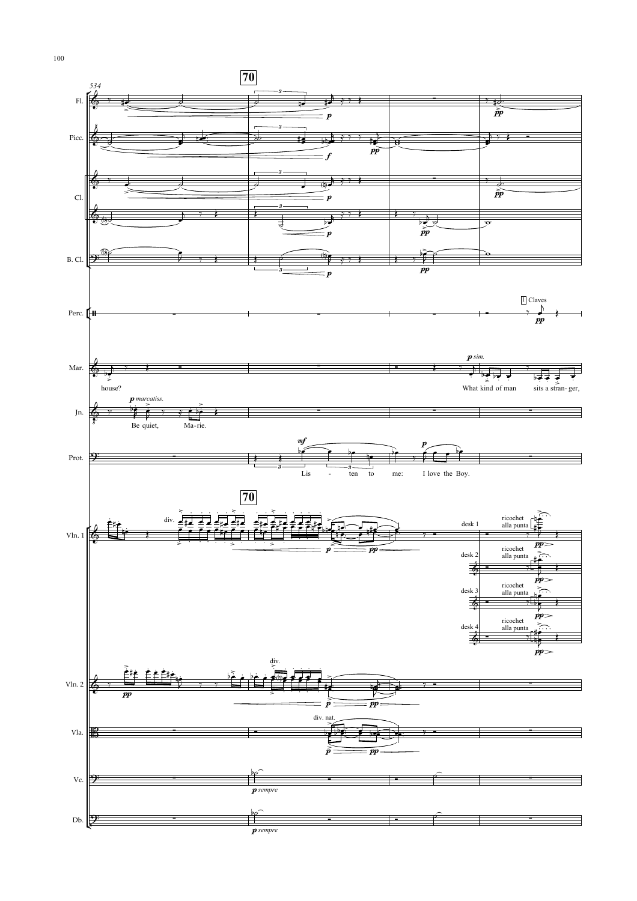

100